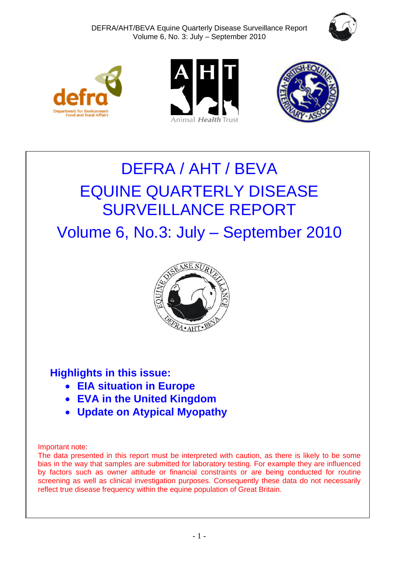







# DEFRA / AHT / BEVA EQUINE QUARTERLY DISEASE SURVEILLANCE REPORT

Volume 6, No.3: July – September 2010



## **Highlights in this issue:**

- **EIA situation in Europe**
- **EVA in the United Kingdom**
- **Update on Atypical Myopathy**

#### Important note:

The data presented in this report must be interpreted with caution, as there is likely to be some bias in the way that samples are submitted for laboratory testing. For example they are influenced by factors such as owner attitude or financial constraints or are being conducted for routine screening as well as clinical investigation purposes. Consequently these data do not necessarily reflect true disease frequency within the equine population of Great Britain.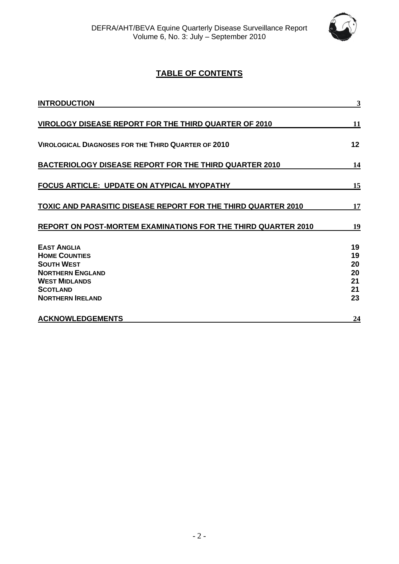

## **TABLE OF CONTENTS**

| <b>INTRODUCTION</b>                                                                                                                                              | 3                                      |
|------------------------------------------------------------------------------------------------------------------------------------------------------------------|----------------------------------------|
| VIROLOGY DISEASE REPORT FOR THE THIRD QUARTER OF 2010                                                                                                            | 11                                     |
| <b>VIROLOGICAL DIAGNOSES FOR THE THIRD QUARTER OF 2010</b>                                                                                                       | 12                                     |
| <b>BACTERIOLOGY DISEASE REPORT FOR THE THIRD QUARTER 2010</b>                                                                                                    | 14                                     |
| <b>FOCUS ARTICLE: UPDATE ON ATYPICAL MYOPATHY</b>                                                                                                                | 15                                     |
| TOXIC AND PARASITIC DISEASE REPORT FOR THE THIRD QUARTER 2010                                                                                                    | 17                                     |
| REPORT ON POST-MORTEM EXAMINATIONS FOR THE THIRD QUARTER 2010                                                                                                    | 19                                     |
| <b>EAST ANGLIA</b><br><b>HOME COUNTIES</b><br><b>SOUTH WEST</b><br><b>NORTHERN ENGLAND</b><br><b>WEST MIDLANDS</b><br><b>SCOTLAND</b><br><b>NORTHERN IRELAND</b> | 19<br>19<br>20<br>20<br>21<br>21<br>23 |
| <b>ACKNOWLEDGEMENTS</b>                                                                                                                                          | 24                                     |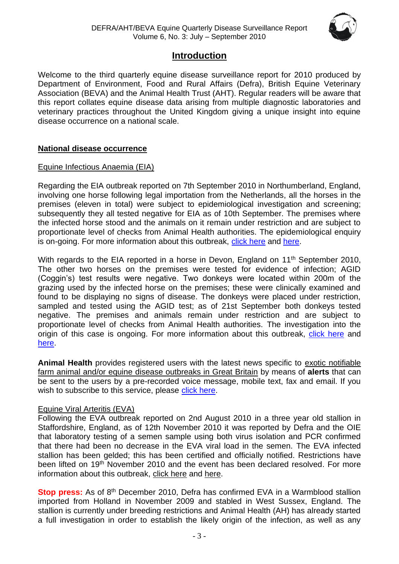

## **Introduction**

<span id="page-2-0"></span>Welcome to the third quarterly equine disease surveillance report for 2010 produced by Department of Environment, Food and Rural Affairs (Defra), British Equine Veterinary Association (BEVA) and the Animal Health Trust (AHT). Regular readers will be aware that this report collates equine disease data arising from multiple diagnostic laboratories and veterinary practices throughout the United Kingdom giving a unique insight into equine disease occurrence on a national scale.

#### **National disease occurrence**

#### Equine Infectious Anaemia (EIA)

Regarding the EIA outbreak reported on 7th September 2010 in Northumberland, England, involving one horse following legal importation from the Netherlands, all the horses in the premises (eleven in total) were subject to epidemiological investigation and screening; subsequently they all tested negative for EIA as of 10th September. The premises where the infected horse stood and the animals on it remain under restriction and are subject to proportionate level of checks from Animal Health authorities. The epidemiological enquiry is on-going. For more information about this outbreak, [click here](http://www.defra.gov.uk/foodfarm/farmanimal/diseases/atoz/eia/latest/index.htm) and [here.](http://www.oie.int/wahis/public.php?page=single_report&pop=1&reportid=9682)

With regards to the EIA reported in a horse in Devon, England on 11<sup>th</sup> September 2010, The other two horses on the premises were tested for evidence of infection; AGID (Coggin's) test results were negative. Two donkeys were located within 200m of the grazing used by the infected horse on the premises; these were clinically examined and found to be displaying no signs of disease. The donkeys were placed under restriction, sampled and tested using the AGID test; as of 21st September both donkeys tested negative. The premises and animals remain under restriction and are subject to proportionate level of checks from Animal Health authorities. The investigation into the origin of this case is ongoing. For more information about this outbreak, [click here](http://www.oie.int/wahis/public.php?page=single_report&pop=1&reportid=9706) and [here.](http://ww2.defra.gov.uk/2010/09/11/eia-news2/)

**Animal Health** provides registered users with the latest news specific to exotic notifiable farm animal and/or equine disease outbreaks in Great Britain by means of **alerts** that can be sent to the users by a pre-recorded voice message, mobile text, fax and email. If you wish to subscribe to this service, please [click here.](http://animalhealth.system-message.co.uk/AH_subscribe_index.php)

#### Equine Viral Arteritis (EVA)

Following the EVA outbreak reported on 2nd August 2010 in a three year old stallion in Staffordshire, England, as of 12th November 2010 it was reported by Defra and the OIE that laboratory testing of a semen sample using both virus isolation and PCR confirmed that there had been no decrease in the EVA viral load in the semen. The EVA infected stallion has been gelded; this has been certified and officially notified. Restrictions have been lifted on 19<sup>th</sup> November 2010 and the event has been declared resolved. For more information about this outbreak, [click here](http://www.defra.gov.uk/foodfarm/farmanimal/diseases/atoz/eva/#latestsituation) and [here.](http://www.oie.int/wahis/public.php?page=single_report&pop=1&reportid=9932)

**Stop press:** As of 8<sup>th</sup> December 2010, Defra has confirmed EVA in a Warmblood stallion imported from Holland in November 2009 and stabled in West Sussex, England. The stallion is currently under breeding restrictions and Animal Health (AH) has already started a full investigation in order to establish the likely origin of the infection, as well as any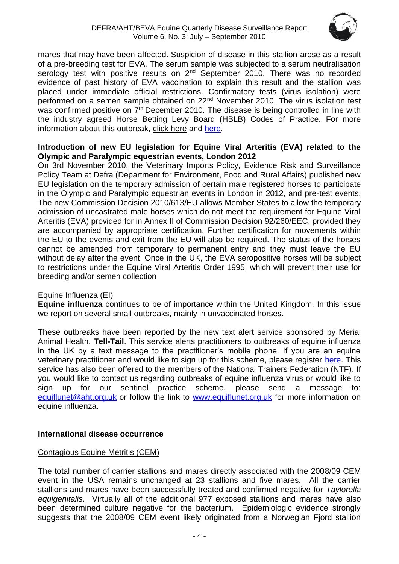

mares that may have been affected. Suspicion of disease in this stallion arose as a result of a pre-breeding test for EVA. The serum sample was subjected to a serum neutralisation serology test with positive results on 2<sup>nd</sup> September 2010. There was no recorded evidence of past history of EVA vaccination to explain this result and the stallion was placed under immediate official restrictions. Confirmatory tests (virus isolation) were performed on a semen sample obtained on 22nd November 2010. The virus isolation test was confirmed positive on 7<sup>th</sup> December 2010. The disease is being controlled in line with the industry agreed Horse Betting Levy Board (HBLB) Codes of Practice. For more information about this outbreak, [click here](http://www.defra.gov.uk/foodfarm/farmanimal/diseases/atoz/eva/#latestsituation) and [here.](http://www.oie.int/wahis/public.php?page=single_report&pop=1&reportid=10031)

#### **Introduction of new EU legislation for Equine Viral Arteritis (EVA) related to the Olympic and Paralympic equestrian events, London 2012**

On 3rd November 2010, the Veterinary Imports Policy, Evidence Risk and Surveillance Policy Team at Defra (Department for Environment, Food and Rural Affairs) published new EU legislation on the temporary admission of certain male registered horses to participate in the Olympic and Paralympic equestrian events in London in 2012, and pre-test events. The new [Commission Decision 2010/613/EU](http://eur-lex.europa.eu/LexUriServ/LexUriServ.do?uri=OJ:L:2010:268:0040:0042:EN:PDF) allows Member States to allow the temporary admission of uncastrated male horses which do not meet the requirement for Equine Viral Arteritis (EVA) provided for in Annex II of Commission Decision 92/260/EEC, provided they are accompanied by appropriate certification. Further certification for movements within the EU to the events and exit from the EU will also be required. The status of the horses cannot be amended from temporary to permanent entry and they must leave the EU without delay after the event. Once in the UK, the EVA seropositive horses will be subject to restrictions under the Equine Viral Arteritis Order 1995, which will prevent their use for breeding and/or semen collection

#### Equine Influenza (EI)

**Equine influenza** continues to be of importance within the United Kingdom. In this issue we report on several small outbreaks, mainly in unvaccinated horses.

These outbreaks have been reported by the new text alert service sponsored by Merial Animal Health, **Tell-Tail**. This service alerts practitioners to outbreaks of equine influenza in the UK by a text message to the practitioner's mobile phone. If you are an equine veterinary practitioner and would like to sign up for this scheme, please register [here.](http://www.merial.co.uk/) This service has also been offered to the members of the National Trainers Federation (NTF). If you would like to contact us regarding outbreaks of equine influenza virus or would like to sign up for our sentinel practice scheme, please send a message to: [equiflunet@aht.org.uk](mailto:equiflunet@aht.org.uk) or follow the link to [www.equiflunet.org.uk](http://www.equiflunet.org.uk/) for more information on equine influenza.

#### **International disease occurrence**

#### Contagious Equine Metritis (CEM)

The total number of carrier stallions and mares directly associated with the 2008/09 CEM event in the USA remains unchanged at 23 stallions and five mares. All the carrier stallions and mares have been successfully treated and confirmed negative for *Taylorella equigenitalis*. Virtually all of the additional 977 exposed stallions and mares have also been determined culture negative for the bacterium. Epidemiologic evidence strongly suggests that the 2008/09 CEM event likely originated from a Norwegian Fjord stallion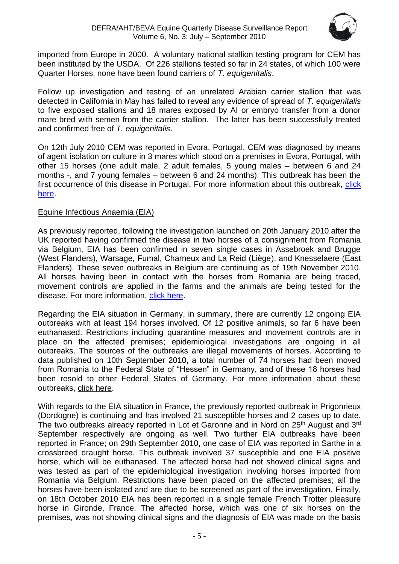

imported from Europe in 2000. A voluntary national stallion testing program for CEM has been instituted by the USDA. Of 226 stallions tested so far in 24 states, of which 100 were Quarter Horses, none have been found carriers of *T. equigenitalis*.

Follow up investigation and testing of an unrelated Arabian carrier stallion that was detected in California in May has failed to reveal any evidence of spread of *T. equigenitalis* to five exposed stallions and 18 mares exposed by AI or embryo transfer from a donor mare bred with semen from the carrier stallion. The latter has been successfully treated and confirmed free of *T. equigenitalis*.

On 12th July 2010 CEM was reported in Evora, Portugal. CEM was diagnosed by means of agent isolation on culture in 3 mares which stood on a premises in Evora, Portugal, with other 15 horses (one adult male, 2 adult females, 5 young males – between 6 and 24 months -, and 7 young females – between 6 and 24 months). This outbreak has been the first occurrence of this disease in Portugal. For more information about this outbreak, [click](http://www.oie.int/wahis/public.php?page=single_report&pop=1&reportid=9592)  [here.](http://www.oie.int/wahis/public.php?page=single_report&pop=1&reportid=9592)

#### Equine Infectious Anaemia (EIA)

As previously reported, following the investigation launched on 20th January 2010 after the UK reported having confirmed the disease in two horses of a consignment from Romania via Belgium, EIA has been confirmed in seven single cases in Assebroek and Brugge (West Flanders), Warsage, Fumal, Charneux and La Reid (Liège), and Knesselaere (East Flanders). These seven outbreaks in Belgium are continuing as of 19th November 2010. All horses having been in contact with the horses from Romania are being traced, movement controls are applied in the farms and the animals are being tested for the disease. For more information, [click here.](http://www.oie.int/wahis/public.php?page=single_report&pop=1&reportid=8917)

Regarding the EIA situation in Germany, in summary, there are currently 12 ongoing EIA outbreaks with at least 194 horses involved. Of 12 positive animals, so far 6 have been euthanased. Restrictions including quarantine measures and movement controls are in place on the affected premises; epidemiological investigations are ongoing in all outbreaks. The sources of the outbreaks are illegal movements of horses. According to data published on 10th September 2010, a total number of 74 horses had been moved from Romania to the Federal State of "Hessen" in Germany, and of these 18 horses had been resold to other Federal States of Germany. For more information about these outbreaks, [click here.](http://www.oie.int/wahis/public.php?page=single_report&pop=1&reportid=9450)

With regards to the EIA situation in France, the previously reported outbreak in Prigonrieux (Dordogne) is continuing and has involved 21 susceptible horses and 2 cases up to date. The two outbreaks already reported in Lot et Garonne and in Nord on 25<sup>th</sup> August and 3<sup>rd</sup> September respectively are ongoing as well. Two further EIA outbreaks have been reported in France; on 29th September 2010, one case of EIA was reported in Sarthe in a crossbreed draught horse. This outbreak involved 37 susceptible and one EIA positive horse, which will be euthanased. The affected horse had not showed clinical signs and was tested as part of the epidemiological investigation involving horses imported from Romania via Belgium. Restrictions have been placed on the affected premises; all the horses have been isolated and are due to be screened as part of the investigation. Finally, on 18th October 2010 EIA has been reported in a single female French Trotter pleasure horse in Gironde, France. The affected horse, which was one of six horses on the premises, was not showing clinical signs and the diagnosis of EIA was made on the basis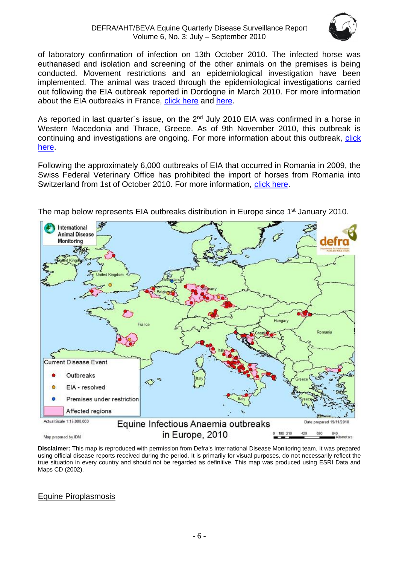

of laboratory confirmation of infection on 13th October 2010. The infected horse was euthanased and isolation and screening of the other animals on the premises is being conducted. Movement restrictions and an epidemiological investigation have been implemented. The animal was traced through the epidemiological investigations carried out following the EIA outbreak reported in Dordogne in March 2010. For more information about the EIA outbreaks in France, [click here](http://www.oie.int/wahis/public.php?page=single_report&pop=1&reportid=9665) and [here.](http://www.respe.net/alerteall)

As reported in last quarter's issue, on the 2<sup>nd</sup> July 2010 EIA was confirmed in a horse in Western Macedonia and Thrace, Greece. As of 9th November 2010, this outbreak is continuing and investigations are ongoing. For more information about this outbreak, [click](http://www.oie.int/wahis/public.php?page=single_report&pop=1&reportid=9495)  [here.](http://www.oie.int/wahis/public.php?page=single_report&pop=1&reportid=9495)

Following the approximately 6,000 outbreaks of EIA that occurred in Romania in 2009, the Swiss Federal Veterinary Office has prohibited the import of horses from Romania into Switzerland from 1st of October 2010. For more information, [click here.](http://www.bvet.admin.ch/)



The map below represents EIA outbreaks distribution in Europe since 1<sup>st</sup> January 2010.

Map prepared by IDM

**Disclaimer:** This map is reproduced with permission from Defra's International Disease Monitoring team. It was prepared using official disease reports received during the period. It is primarily for visual purposes, do not necessarily reflect the true situation in every country and should not be regarded as definitive. This map was produced using ESRI Data and Maps CD (2002).

#### Equine Piroplasmosis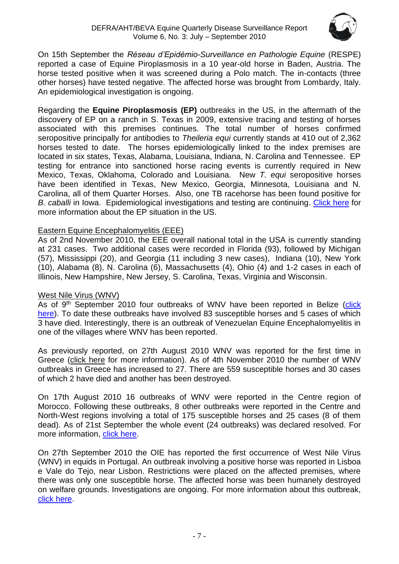

On 15th September the *Réseau d'Epidémio-Surveillance en Pathologie Equine* (RESPE) reported a case of Equine Piroplasmosis in a 10 year-old horse in Baden, Austria. The horse tested positive when it was screened during a Polo match. The in-contacts (three other horses) have tested negative. The affected horse was brought from Lombardy, Italy. An epidemiological investigation is ongoing.

Regarding the **Equine Piroplasmosis (EP)** outbreaks in the US, in the aftermath of the discovery of EP on a ranch in S. Texas in 2009, extensive tracing and testing of horses associated with this premises continues. The total number of horses confirmed seropositive principally for antibodies to *Theileria equi* currently stands at 410 out of 2,362 horses tested to date. The horses epidemiologically linked to the index premises are located in six states, Texas, Alabama, Louisiana, Indiana, N. Carolina and Tennessee. EP testing for entrance into sanctioned horse racing events is currently required in New Mexico, Texas, Oklahoma, Colorado and Louisiana. New *T. equi* seropositive horses have been identified in Texas, New Mexico, Georgia, Minnesota, Louisiana and N. Carolina, all of them Quarter Horses. Also, one TB racehorse has been found positive for *B. caballi* in Iowa. Epidemiological investigations and testing are continuing. [Click here](http://www.oie.int/wahis/public.php?page=disease_immediate_summary&disease_type=Terrestrial&disease_id=61) for more information about the EP situation in the US.

#### Eastern Equine Encephalomyelitis (EEE)

As of 2nd November 2010, the EEE overall national total in the USA is currently standing at 231 cases. Two additional cases were recorded in Florida (93), followed by Michigan (57), Mississippi (20), and Georgia (11 including 3 new cases), Indiana (10), New York (10), Alabama (8), N. Carolina (6), Massachusetts (4), Ohio (4) and 1-2 cases in each of Illinois, New Hampshire, New Jersey, S. Carolina, Texas, Virginia and Wisconsin.

#### West Nile Virus (WNV)

As of 9<sup>th</sup> September 2010 four outbreaks of WNV have been reported in Belize (click [here\)](http://www.oie.int/wahis/public.php?page=single_report&pop=1&reportid=9692). To date these outbreaks have involved 83 susceptible horses and 5 cases of which 3 have died. Interestingly, there is an outbreak of Venezuelan Equine Encephalomyelitis in one of the villages where WNV has been reported.

As previously reported, on 27th August 2010 WNV was reported for the first time in Greece [\(click here](http://www.oie.int/wahis/public.php?page=single_report&pop=1&reportid=9642) for more information). As of 4th November 2010 the number of WNV outbreaks in Greece has increased to 27. There are 559 susceptible horses and 30 cases of which 2 have died and another has been destroyed.

On 17th August 2010 16 outbreaks of WNV were reported in the Centre region of Morocco. Following these outbreaks, 8 other outbreaks were reported in the Centre and North-West regions involving a total of 175 susceptible horses and 25 cases (8 of them dead). As of 21st September the whole event (24 outbreaks) was declared resolved. For more information, [click here.](http://www.oie.int/wahis/public.php?page=single_report&pop=1&reportid=9679)

On 27th September 2010 the OIE has reported the first occurrence of West Nile Virus (WNV) in equids in Portugal. An outbreak involving a positive horse was reported in Lisboa e Vale do Tejo, near Lisbon. Restrictions were placed on the affected premises, where there was only one susceptible horse. The affected horse was been humanely destroyed on welfare grounds. Investigations are ongoing. For more information about this outbreak, [click here.](http://www.oie.int/wahis/public.php?page=single_report&pop=1&reportid=9879)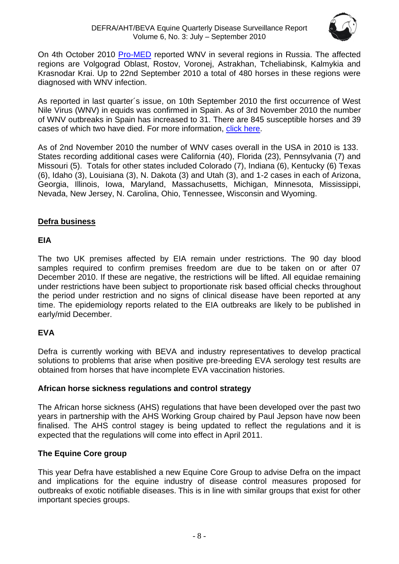

On 4th October 2010 [Pro-MED](http://www.promedmail.org/pls/apex/f?p=2400:1000) reported WNV in several regions in Russia. The affected regions are Volgograd Oblast, Rostov, Voronej, Astrakhan, Tcheliabinsk, Kalmykia and Krasnodar Krai. Up to 22nd September 2010 a total of 480 horses in these regions were diagnosed with WNV infection.

As reported in last quarter´s issue, on 10th September 2010 the first occurrence of West Nile Virus (WNV) in equids was confirmed in Spain. As of 3rd November 2010 the number of WNV outbreaks in Spain has increased to 31. There are 845 susceptible horses and 39 cases of which two have died. For more information, [click here.](http://www.oie.int/wahis/public.php?page=single_report&pop=1&reportid=9695)

As of 2nd November 2010 the number of WNV cases overall in the USA in 2010 is 133. States recording additional cases were California (40), Florida (23), Pennsylvania (7) and Missouri (5). Totals for other states included Colorado (7), Indiana (6), Kentucky (6) Texas (6), Idaho (3), Louisiana (3), N. Dakota (3) and Utah (3), and 1-2 cases in each of Arizona, Georgia, Illinois, Iowa, Maryland, Massachusetts, Michigan, Minnesota, Mississippi, Nevada, New Jersey, N. Carolina, Ohio, Tennessee, Wisconsin and Wyoming.

### **Defra business**

#### **EIA**

The two UK premises affected by EIA remain under restrictions. The 90 day blood samples required to confirm premises freedom are due to be taken on or after 07 December 2010. If these are negative, the restrictions will be lifted. All equidae remaining under restrictions have been subject to proportionate risk based official checks throughout the period under restriction and no signs of clinical disease have been reported at any time. The epidemiology reports related to the EIA outbreaks are likely to be published in early/mid December.

## **EVA**

Defra is currently working with BEVA and industry representatives to develop practical solutions to problems that arise when positive pre-breeding EVA serology test results are obtained from horses that have incomplete EVA vaccination histories.

#### **African horse sickness regulations and control strategy**

The African horse sickness (AHS) regulations that have been developed over the past two years in partnership with the AHS Working Group chaired by Paul Jepson have now been finalised. The AHS control stagey is being updated to reflect the regulations and it is expected that the regulations will come into effect in April 2011.

## **The Equine Core group**

This year Defra have established a new Equine Core Group to advise Defra on the impact and implications for the equine industry of disease control measures proposed for outbreaks of exotic notifiable diseases. This is in line with similar groups that exist for other important species groups.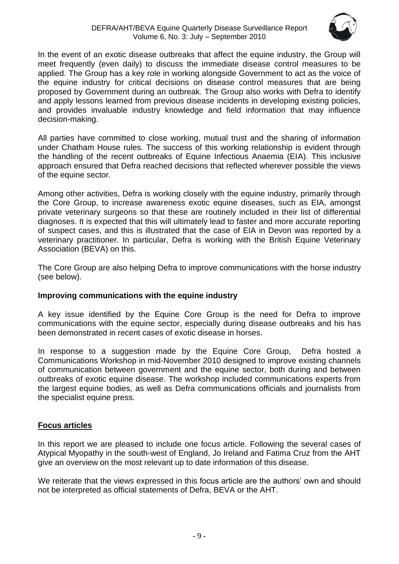

In the event of an exotic disease outbreaks that affect the equine industry, the Group will meet frequently (even daily) to discuss the immediate disease control measures to be applied. The Group has a key role in working alongside Government to act as the voice of the equine industry for critical decisions on disease control measures that are being proposed by Government during an outbreak. The Group also works with Defra to identify and apply lessons learned from previous disease incidents in developing existing policies, and provides invaluable industry knowledge and field information that may influence decision-making.

All parties have committed to close working, mutual trust and the sharing of information under Chatham House rules. The success of this working relationship is evident through the handling of the recent outbreaks of Equine Infectious Anaemia (EIA). This inclusive approach ensured that Defra reached decisions that reflected wherever possible the views of the equine sector.

Among other activities, Defra is working closely with the equine industry, primarily through the Core Group, to increase awareness exotic equine diseases, such as EIA, amongst private veterinary surgeons so that these are routinely included in their list of differential diagnoses. It is expected that this will ultimately lead to faster and more accurate reporting of suspect cases, and this is illustrated that the case of EIA in Devon was reported by a veterinary practitioner. In particular, Defra is working with the British Equine Veterinary Association (BEVA) on this.

The Core Group are also helping Defra to improve communications with the horse industry (see below).

#### **Improving communications with the equine industry**

A key issue identified by the Equine Core Group is the need for Defra to improve communications with the equine sector, especially during disease outbreaks and his has been demonstrated in recent cases of exotic disease in horses.

In response to a suggestion made by the Equine Core Group, Defra hosted a Communications Workshop in mid-November 2010 designed to improve existing channels of communication between government and the equine sector, both during and between outbreaks of exotic equine disease. The workshop included communications experts from the largest equine bodies, as well as Defra communications officials and journalists from the specialist equine press.

#### **Focus articles**

In this report we are pleased to include one focus article. Following the several cases of Atypical Myopathy in the south-west of England, Jo Ireland and Fatima Cruz from the AHT give an overview on the most relevant up to date information of this disease.

We reiterate that the views expressed in this focus article are the authors' own and should not be interpreted as official statements of Defra, BEVA or the AHT.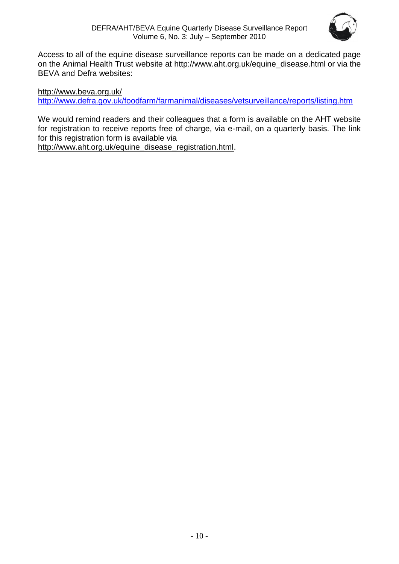

Access to all of the equine disease surveillance reports can be made on a dedicated page on the Animal Health Trust website at [http://www.aht.org.uk/equine\\_disease.html](http://www.aht.org.uk/equine_disease.html) or via the BEVA and Defra websites:

<http://www.beva.org.uk/> <http://www.defra.gov.uk/foodfarm/farmanimal/diseases/vetsurveillance/reports/listing.htm>

We would remind readers and their colleagues that a form is available on the AHT website for registration to receive reports free of charge, via e-mail, on a quarterly basis. The link for this registration form is available via

[http://www.aht.org.uk/equine\\_disease\\_registration.html.](http://www.aht.org.uk/equine_disease_registration.html)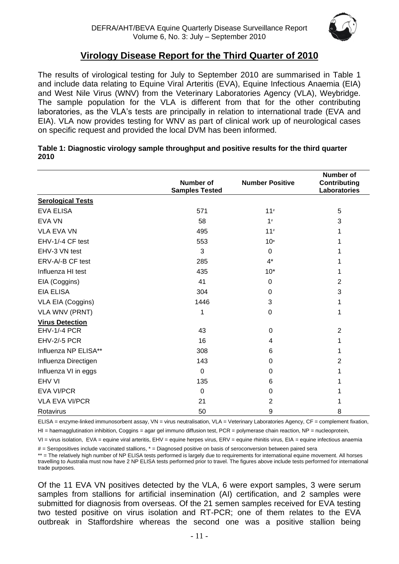

## **Virology Disease Report for the Third Quarter of 2010**

<span id="page-10-0"></span>The results of virological testing for July to September 2010 are summarised in Table 1 and include data relating to Equine Viral Arteritis (EVA), Equine Infectious Anaemia (EIA) and West Nile Virus (WNV) from the Veterinary Laboratories Agency (VLA), Weybridge. The sample population for the VLA is different from that for the other contributing laboratories, as the VLA's tests are principally in relation to international trade (EVA and EIA). VLA now provides testing for WNV as part of clinical work up of neurological cases on specific request and provided the local DVM has been informed.

|                          | <b>Number of</b><br><b>Samples Tested</b> | <b>Number Positive</b> | <b>Number of</b><br>Contributing<br>Laboratories |
|--------------------------|-------------------------------------------|------------------------|--------------------------------------------------|
| <b>Serological Tests</b> |                                           |                        |                                                  |
| <b>EVA ELISA</b>         | 571                                       | $11$ <sup>#</sup>      | 5                                                |
| <b>EVA VN</b>            | 58                                        | 1#                     | 3                                                |
| <b>VLA EVA VN</b>        | 495                                       | 11#                    |                                                  |
| EHV-1/-4 CF test         | 553                                       | $10*$                  |                                                  |
| EHV-3 VN test            | 3                                         | $\overline{0}$         |                                                  |
| ERV-A/-B CF test         | 285                                       | $4^*$                  |                                                  |
| Influenza HI test        | 435                                       | $10*$                  | 1                                                |
| EIA (Coggins)            | 41                                        | $\Omega$               | $\overline{2}$                                   |
| <b>EIA ELISA</b>         | 304                                       | 0                      | 3                                                |
| VLA EIA (Coggins)        | 1446                                      | 3                      | 1                                                |
| <b>VLA WNV (PRNT)</b>    | 1                                         | 0                      | 1                                                |
| <b>Virus Detection</b>   |                                           |                        |                                                  |
| <b>EHV-1/-4 PCR</b>      | 43                                        | $\Omega$               | $\overline{2}$                                   |
| <b>EHV-2/-5 PCR</b>      | 16                                        | 4                      | 1                                                |
| Influenza NP ELISA**     | 308                                       | 6                      | 1                                                |
| Influenza Directigen     | 143                                       | 0                      | 2                                                |
| Influenza VI in eggs     | $\mathbf 0$                               | 0                      |                                                  |
| EHV VI                   | 135                                       | 6                      |                                                  |
| <b>EVA VI/PCR</b>        | $\Omega$                                  | $\Omega$               |                                                  |
| <b>VLA EVA VI/PCR</b>    | 21                                        | 2                      |                                                  |
| Rotavirus                | 50                                        | 9                      | 8                                                |

#### **Table 1: Diagnostic virology sample throughput and positive results for the third quarter 2010**

ELISA = enzyme-linked immunosorbent assay, VN = virus neutralisation, VLA = Veterinary Laboratories Agency, CF = complement fixation,

 $H =$  haemagglutination inhibition, Coggins = agar gel immuno diffusion test, PCR = polymerase chain reaction, NP = nucleoprotein,

VI = virus isolation, EVA = equine viral arteritis, EHV = equine herpes virus, ERV = equine rhinitis virus, EIA = equine infectious anaemia

# = Seropositives include vaccinated stallions, \* = Diagnosed positive on basis of seroconversion between paired sera

\*\* = The relatively high number of NP ELISA tests performed is largely due to requirements for international equine movement. All horses travelling to Australia must now have 2 NP ELISA tests performed prior to travel. The figures above include tests performed for international trade purposes.

Of the 11 EVA VN positives detected by the VLA, 6 were export samples, 3 were serum samples from stallions for artificial insemination (AI) certification, and 2 samples were submitted for diagnosis from overseas. Of the 21 semen samples received for EVA testing two tested positive on virus isolation and RT-PCR; one of them relates to the EVA outbreak in Staffordshire whereas the second one was a positive stallion being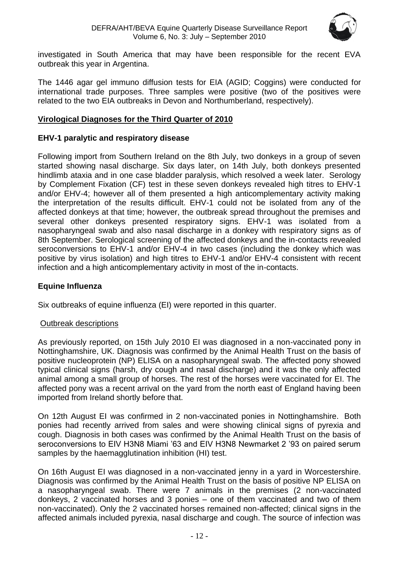

investigated in South America that may have been responsible for the recent EVA outbreak this year in Argentina.

The 1446 agar gel immuno diffusion tests for EIA (AGID; Coggins) were conducted for international trade purposes. Three samples were positive (two of the positives were related to the two EIA outbreaks in Devon and Northumberland, respectively).

#### <span id="page-11-0"></span>**Virological Diagnoses for the Third Quarter of 2010**

#### **EHV-1 paralytic and respiratory disease**

Following import from Southern Ireland on the 8th July, two donkeys in a group of seven started showing nasal discharge. Six days later, on 14th July, both donkeys presented hindlimb ataxia and in one case bladder paralysis, which resolved a week later. Serology by Complement Fixation (CF) test in these seven donkeys revealed high titres to EHV-1 and/or EHV-4; however all of them presented a high anticomplementary activity making the interpretation of the results difficult. EHV-1 could not be isolated from any of the affected donkeys at that time; however, the outbreak spread throughout the premises and several other donkeys presented respiratory signs. EHV-1 was isolated from a nasopharyngeal swab and also nasal discharge in a donkey with respiratory signs as of 8th September. Serological screening of the affected donkeys and the in-contacts revealed seroconversions to EHV-1 and/or EHV-4 in two cases (including the donkey which was positive by virus isolation) and high titres to EHV-1 and/or EHV-4 consistent with recent infection and a high anticomplementary activity in most of the in-contacts.

#### **Equine Influenza**

Six outbreaks of equine influenza (EI) were reported in this quarter.

#### Outbreak descriptions

As previously reported, on 15th July 2010 EI was diagnosed in a non-vaccinated pony in Nottinghamshire, UK. Diagnosis was confirmed by the Animal Health Trust on the basis of positive nucleoprotein (NP) ELISA on a nasopharyngeal swab. The affected pony showed typical clinical signs (harsh, dry cough and nasal discharge) and it was the only affected animal among a small group of horses. The rest of the horses were vaccinated for EI. The affected pony was a recent arrival on the yard from the north east of England having been imported from Ireland shortly before that.

On 12th August EI was confirmed in 2 non-vaccinated ponies in Nottinghamshire. Both ponies had recently arrived from sales and were showing clinical signs of pyrexia and cough. Diagnosis in both cases was confirmed by the Animal Health Trust on the basis of seroconversions to EIV H3N8 Miami '63 and EIV H3N8 Newmarket 2 '93 on paired serum samples by the haemagglutination inhibition (HI) test.

On 16th August EI was diagnosed in a non-vaccinated jenny in a yard in Worcestershire. Diagnosis was confirmed by the Animal Health Trust on the basis of positive NP ELISA on a nasopharyngeal swab. There were 7 animals in the premises (2 non-vaccinated donkeys, 2 vaccinated horses and 3 ponies – one of them vaccinated and two of them non-vaccinated). Only the 2 vaccinated horses remained non-affected; clinical signs in the affected animals included pyrexia, nasal discharge and cough. The source of infection was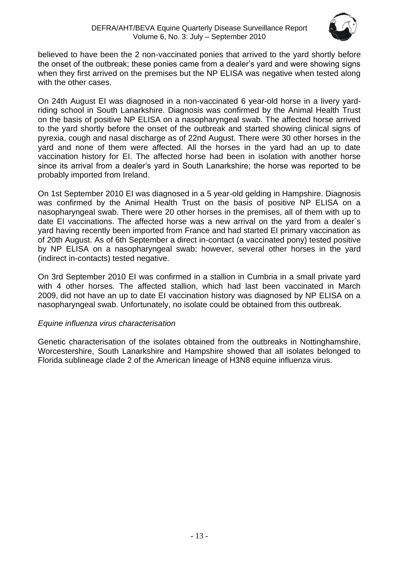

believed to have been the 2 non-vaccinated ponies that arrived to the yard shortly before the onset of the outbreak; these ponies came from a dealer's yard and were showing signs when they first arrived on the premises but the NP ELISA was negative when tested along with the other cases.

On 24th August EI was diagnosed in a non-vaccinated 6 year-old horse in a livery yardriding school in South Lanarkshire. Diagnosis was confirmed by the Animal Health Trust on the basis of positive NP ELISA on a nasopharyngeal swab. The affected horse arrived to the yard shortly before the onset of the outbreak and started showing clinical signs of pyrexia, cough and nasal discharge as of 22nd August. There were 30 other horses in the yard and none of them were affected. All the horses in the yard had an up to date vaccination history for EI. The affected horse had been in isolation with another horse since its arrival from a dealer's yard in South Lanarkshire; the horse was reported to be probably imported from Ireland.

On 1st September 2010 EI was diagnosed in a 5 year-old gelding in Hampshire. Diagnosis was confirmed by the Animal Health Trust on the basis of positive NP ELISA on a nasopharyngeal swab. There were 20 other horses in the premises, all of them with up to date EI vaccinations. The affected horse was a new arrival on the yard from a dealer´s yard having recently been imported from France and had started EI primary vaccination as of 20th August. As of 6th September a direct in-contact (a vaccinated pony) tested positive by NP ELISA on a nasopharyngeal swab; however, several other horses in the yard (indirect in-contacts) tested negative.

On 3rd September 2010 EI was confirmed in a stallion in Cumbria in a small private yard with 4 other horses. The affected stallion, which had last been vaccinated in March 2009, did not have an up to date EI vaccination history was diagnosed by NP ELISA on a nasopharyngeal swab. Unfortunately, no isolate could be obtained from this outbreak.

#### *Equine influenza virus characterisation*

Genetic characterisation of the isolates obtained from the outbreaks in Nottinghamshire, Worcestershire, South Lanarkshire and Hampshire showed that all isolates belonged to Florida sublineage clade 2 of the American lineage of H3N8 equine influenza virus.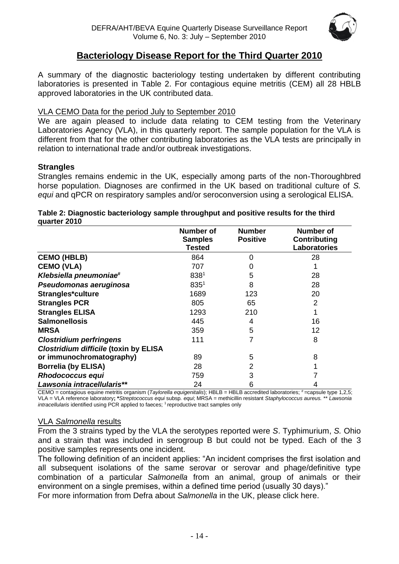

## **Bacteriology Disease Report for the Third Quarter 2010**

<span id="page-13-0"></span>A summary of the diagnostic bacteriology testing undertaken by different contributing laboratories is presented in Table 2. For contagious equine metritis (CEM) all 28 HBLB approved laboratories in the UK contributed data.

#### VLA CEMO Data for the period July to September 2010

We are again pleased to include data relating to CEM testing from the Veterinary Laboratories Agency (VLA), in this quarterly report. The sample population for the VLA is different from that for the other contributing laboratories as the VLA tests are principally in relation to international trade and/or outbreak investigations.

#### **Strangles**

Strangles remains endemic in the UK, especially among parts of the non-Thoroughbred horse population. Diagnoses are confirmed in the UK based on traditional culture of *S. equi* and qPCR on respiratory samples and/or seroconversion using a serological ELISA.

#### **Table 2: Diagnostic bacteriology sample throughput and positive results for the third quarter 2010**

|                                              | <b>Number of</b>                | <b>Number</b>   | <b>Number of</b>                           |
|----------------------------------------------|---------------------------------|-----------------|--------------------------------------------|
|                                              | <b>Samples</b><br><b>Tested</b> | <b>Positive</b> | <b>Contributing</b><br><b>Laboratories</b> |
| <b>CEMO (HBLB)</b>                           | 864                             | 0               | 28                                         |
| <b>CEMO (VLA)</b>                            | 707                             | 0               |                                            |
| Klebsiella pneumoniae#                       | 838 <sup>1</sup>                | 5               | 28                                         |
| Pseudomonas aeruginosa                       | $835^{1}$                       | 8               | 28                                         |
| Strangles*culture                            | 1689                            | 123             | 20                                         |
| <b>Strangles PCR</b>                         | 805                             | 65              | 2                                          |
| <b>Strangles ELISA</b>                       | 1293                            | 210             |                                            |
| <b>Salmonellosis</b>                         | 445                             | 4               | 16                                         |
| <b>MRSA</b>                                  | 359                             | 5               | 12                                         |
| <b>Clostridium perfringens</b>               | 111                             |                 | 8                                          |
| <b>Clostridium difficile (toxin by ELISA</b> |                                 |                 |                                            |
| or immunochromatography)                     | 89                              | 5               | 8                                          |
| <b>Borrelia (by ELISA)</b>                   | 28                              | $\overline{2}$  |                                            |
| <b>Rhodococcus equi</b>                      | 759                             | 3               |                                            |
| Lawsonia intracellularis**                   | 24                              | 6               |                                            |

CEMO = contagious equine metritis organism (Taylorella equigenitalis); HBLB = HBLB accredited laboratories; #=capsule type 1,2,5; VLA = VLA reference laboratory**; \****Streptococcus equi* subsp*. equi*; MRSA = methicillin resistant *Staphylococcus aureus.* \*\* *Lawsonia intracellularis* identified using PCR applied to faeces; <sup>1</sup> reproductive tract samples only

#### VLA *Salmonella* results

From the 3 strains typed by the VLA the serotypes reported were *S*. Typhimurium, *S.* Ohio and a strain that was included in serogroup B but could not be typed. Each of the 3 positive samples represents one incident.

The following definition of an incident applies: "An incident comprises the first isolation and all subsequent isolations of the same serovar or serovar and phage/definitive type combination of a particular *Salmonella* from an animal, group of animals or their environment on a single premises, within a defined time period (usually 30 days)."

For more information from Defra about *Salmonella* in the UK, please [click here.](http://www.defra.gov.uk/vla/reports/rep_salm_rep07.htm)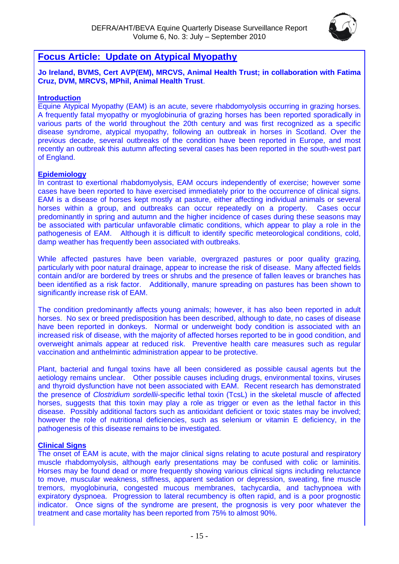

## <span id="page-14-0"></span>**Focus Article: Update on Atypical Myopathy**

**Jo Ireland, BVMS, Cert AVP(EM), MRCVS, Animal Health Trust; in collaboration with Fatima Cruz, DVM, MRCVS, MPhil, Animal Health Trust**.

#### **Introduction**

Equine Atypical Myopathy (EAM) is an acute, severe rhabdomyolysis occurring in grazing horses. A frequently fatal myopathy or myoglobinuria of grazing horses has been reported sporadically in various parts of the world throughout the 20th century and was first recognized as a specific disease syndrome, atypical myopathy, following an outbreak in horses in Scotland. Over the previous decade, several outbreaks of the condition have been reported in Europe, and most recently an outbreak this autumn affecting several cases has been reported in the south-west part of England.

#### **Epidemiology**

In contrast to exertional rhabdomyolysis, EAM occurs independently of exercise; however some cases have been reported to have exercised immediately prior to the occurrence of clinical signs. EAM is a disease of horses kept mostly at pasture, either affecting individual animals or several horses within a group, and outbreaks can occur repeatedly on a property. Cases occur predominantly in spring and autumn and the higher incidence of cases during these seasons may be associated with particular unfavorable climatic conditions, which appear to play a role in the pathogenesis of EAM. Although it is difficult to identify specific meteorological conditions, cold, damp weather has frequently been associated with outbreaks.

While affected pastures have been variable, overgrazed pastures or poor quality grazing, particularly with poor natural drainage, appear to increase the risk of disease. Many affected fields contain and/or are bordered by trees or shrubs and the presence of fallen leaves or branches has been identified as a risk factor. Additionally, manure spreading on pastures has been shown to significantly increase risk of EAM.

The condition predominantly affects young animals; however, it has also been reported in adult horses. No sex or breed predisposition has been described, although to date, no cases of disease have been reported in donkeys. Normal or underweight body condition is associated with an increased risk of disease, with the majority of affected horses reported to be in good condition, and overweight animals appear at reduced risk. Preventive health care measures such as regular vaccination and anthelmintic administration appear to be protective.

Plant, bacterial and fungal toxins have all been considered as possible causal agents but the aetiology remains unclear. Other possible causes including drugs, environmental toxins, viruses and thyroid dysfunction have not been associated with EAM. Recent research has demonstrated the presence of *Clostridium sordellii*-specific lethal toxin (TcsL) in the skeletal muscle of affected horses, suggests that this toxin may play a role as trigger or even as the lethal factor in this disease. Possibly additional factors such as antioxidant deficient or toxic states may be involved; however the role of nutritional deficiencies, such as selenium or vitamin E deficiency, in the pathogenesis of this disease remains to be investigated.

#### **Clinical Signs**

The onset of EAM is acute, with the major clinical signs relating to acute postural and respiratory muscle rhabdomyolysis, although early presentations may be confused with colic or laminitis. Horses may be found dead or more frequently showing various clinical signs including reluctance to move, muscular weakness, stiffness, apparent sedation or depression, sweating, fine muscle tremors, myoglobinuria, congested mucous membranes, tachycardia, and tachypnoea with expiratory dyspnoea. Progression to lateral recumbency is often rapid, and is a poor prognostic indicator. Once signs of the syndrome are present, the prognosis is very poor whatever the treatment and case mortality has been reported from 75% to almost 90%.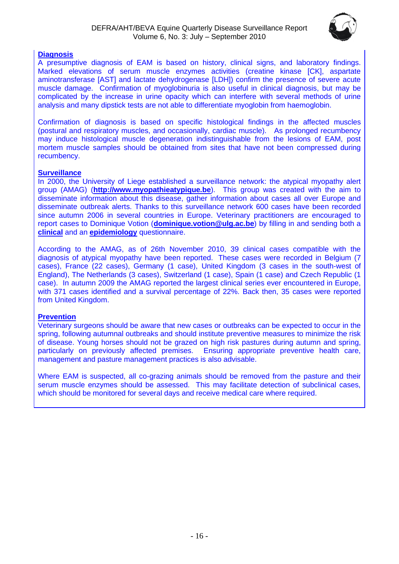

#### **Diagnosis**

A presumptive diagnosis of EAM is based on history, clinical signs, and laboratory findings. Marked elevations of serum muscle enzymes activities (creatine kinase [CK], aspartate aminotransferase [AST] and lactate dehydrogenase [LDH]) confirm the presence of severe acute muscle damage. Confirmation of myoglobinuria is also useful in clinical diagnosis, but may be complicated by the increase in urine opacity which can interfere with several methods of urine analysis and many dipstick tests are not able to differentiate myoglobin from haemoglobin.

Confirmation of diagnosis is based on specific histological findings in the affected muscles (postural and respiratory muscles, and occasionally, cardiac muscle). As prolonged recumbency may induce histological muscle degeneration indistinguishable from the lesions of EAM, post mortem muscle samples should be obtained from sites that have not been compressed during recumbency.

#### **Surveillance**

In 2000, the University of Liege established a surveillance network: the atypical myopathy alert group (AMAG) (**[http://www.myopathieatypique.be](http://www.myopathieatypique.be/)**). This group was created with the aim to disseminate information about this disease, gather information about cases all over Europe and disseminate outbreak alerts. Thanks to this surveillance network 600 cases have been recorded since autumn 2006 in several countries in Europe. Veterinary practitioners are encouraged to report cases to Dominique Votion (**[dominique.votion@ulg.ac.be](mailto:dominique.votion@ulg.ac.be)**) by filling in and sending both a **[clinical](http://www.aht.org.uk/pdf/defraclin1.pdf)** and an **[epidemiology](http://www.aht.org.uk/pdf/defraepi1.pdf)** questionnaire.

According to the AMAG, as of 26th November 2010, 39 clinical cases compatible with the diagnosis of atypical myopathy have been reported. These cases were recorded in Belgium (7 cases), France (22 cases), Germany (1 case), United Kingdom (3 cases in the south-west of England), The Netherlands (3 cases), Switzerland (1 case), Spain (1 case) and Czech Republic (1 case). In autumn 2009 the AMAG reported the largest clinical series ever encountered in Europe, with 371 cases identified and a survival percentage of 22%. Back then, 35 cases were reported from United Kingdom.

#### **Prevention**

Veterinary surgeons should be aware that new cases or outbreaks can be expected to occur in the spring, following autumnal outbreaks and should institute preventive measures to minimize the risk of disease. Young horses should not be grazed on high risk pastures during autumn and spring, particularly on previously affected premises. Ensuring appropriate preventive health care, management and pasture management practices is also advisable.

<span id="page-15-0"></span>Where EAM is suspected, all co-grazing animals should be removed from the pasture and their serum muscle enzymes should be assessed. This may facilitate detection of subclinical cases, which should be monitored for several days and receive medical care where required.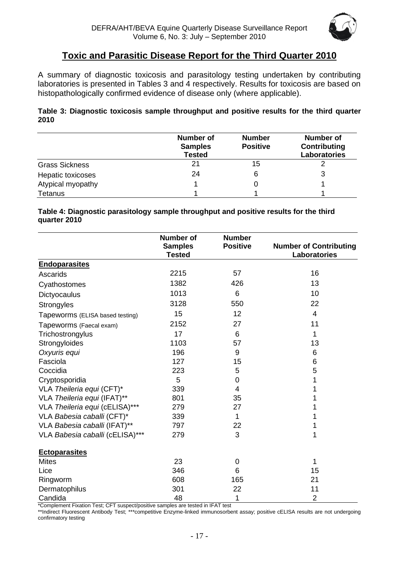

## **Toxic and Parasitic Disease Report for the Third Quarter 2010**

A summary of diagnostic toxicosis and parasitology testing undertaken by contributing laboratories is presented in Tables 3 and 4 respectively. Results for toxicosis are based on histopathologically confirmed evidence of disease only (where applicable).

#### **Table 3: Diagnostic toxicosis sample throughput and positive results for the third quarter 2010**

|                       | <b>Number of</b><br><b>Samples</b><br><b>Tested</b> | <b>Number</b><br><b>Positive</b> | <b>Number of</b><br>Contributing<br>Laboratories |
|-----------------------|-----------------------------------------------------|----------------------------------|--------------------------------------------------|
| <b>Grass Sickness</b> | 21                                                  | 15                               |                                                  |
| Hepatic toxicoses     | 24                                                  |                                  | 3                                                |
| Atypical myopathy     |                                                     |                                  |                                                  |
| <b>Tetanus</b>        |                                                     |                                  |                                                  |

#### **Table 4: Diagnostic parasitology sample throughput and positive results for the third quarter 2010**

|                                 | <b>Number of</b><br><b>Samples</b><br><b>Tested</b> | <b>Number</b><br><b>Positive</b> | <b>Number of Contributing</b><br>Laboratories |
|---------------------------------|-----------------------------------------------------|----------------------------------|-----------------------------------------------|
| <b>Endoparasites</b>            |                                                     |                                  |                                               |
| Ascarids                        | 2215                                                | 57                               | 16                                            |
| Cyathostomes                    | 1382                                                | 426                              | 13                                            |
| Dictyocaulus                    | 1013                                                | 6                                | 10                                            |
| Strongyles                      | 3128                                                | 550                              | 22                                            |
| Tapeworms (ELISA based testing) | 15                                                  | 12                               | 4                                             |
| Tapeworms (Faecal exam)         | 2152                                                | 27                               | 11                                            |
| Trichostrongylus                | 17                                                  | 6                                | 1                                             |
| Strongyloides                   | 1103                                                | 57                               | 13                                            |
| Oxyuris equi                    | 196                                                 | 9                                | 6                                             |
| Fasciola                        | 127                                                 | 15                               | 6                                             |
| Coccidia                        | 223                                                 | 5                                | 5                                             |
| Cryptosporidia                  | 5                                                   | 0                                | 1                                             |
| VLA Theileria equi (CFT)*       | 339                                                 | 4                                |                                               |
| VLA Theileria equi (IFAT)**     | 801                                                 | 35                               |                                               |
| VLA Theileria equi (cELISA)***  | 279                                                 | 27                               |                                               |
| VLA Babesia caballi (CFT)*      | 339                                                 | 1                                |                                               |
| VLA Babesia caballi (IFAT)**    | 797                                                 | 22                               | 1                                             |
| VLA Babesia caballi (cELISA)*** | 279                                                 | 3                                | 1                                             |
| <b>Ectoparasites</b>            |                                                     |                                  |                                               |
| <b>Mites</b>                    | 23                                                  | $\mathbf 0$                      | 1                                             |
| Lice                            | 346                                                 | 6                                | 15                                            |
| Ringworm                        | 608                                                 | 165                              | 21                                            |
| Dermatophilus                   | 301                                                 | 22                               | 11                                            |
| Candida                         | 48                                                  | 1                                | $\overline{2}$                                |

\*Complement Fixation Test; CFT suspect/positive samples are tested in IFAT test

\*\*Indirect Fluorescent Antibody Test; \*\*\*competitive Enzyme-linked immunosorbent assay; positive cELISA results are not undergoing confirmatory testing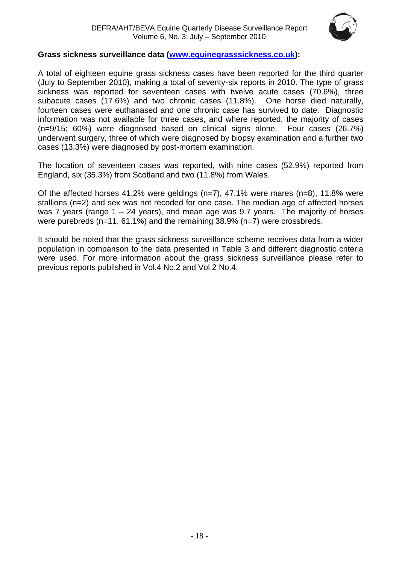

#### **Grass sickness surveillance data [\(www.equinegrasssickness.co.uk\)](http://www.equinegrasssickness.co.uk/):**

A total of eighteen equine grass sickness cases have been reported for the third quarter (July to September 2010), making a total of seventy-six reports in 2010. The type of grass sickness was reported for seventeen cases with twelve acute cases (70.6%), three subacute cases (17.6%) and two chronic cases (11.8%). One horse died naturally, fourteen cases were euthanased and one chronic case has survived to date. Diagnostic information was not available for three cases, and where reported, the majority of cases (n=9/15; 60%) were diagnosed based on clinical signs alone. Four cases (26.7%) underwent surgery, three of which were diagnosed by biopsy examination and a further two cases (13.3%) were diagnosed by post-mortem examination.

The location of seventeen cases was reported, with nine cases (52.9%) reported from England, six (35.3%) from Scotland and two (11.8%) from Wales.

Of the affected horses 41.2% were geldings (n=7), 47.1% were mares (n=8), 11.8% were stallions (n=2) and sex was not recoded for one case. The median age of affected horses was 7 years (range 1 – 24 years), and mean age was 9.7 years. The majority of horses were purebreds (n=11, 61.1%) and the remaining 38.9% (n=7) were crossbreds.

It should be noted that the grass sickness surveillance scheme receives data from a wider population in comparison to the data presented in Table 3 and different diagnostic criteria were used. For more information about the grass sickness surveillance please refer to previous reports published in Vol.4 No.2 and Vol.2 No.4.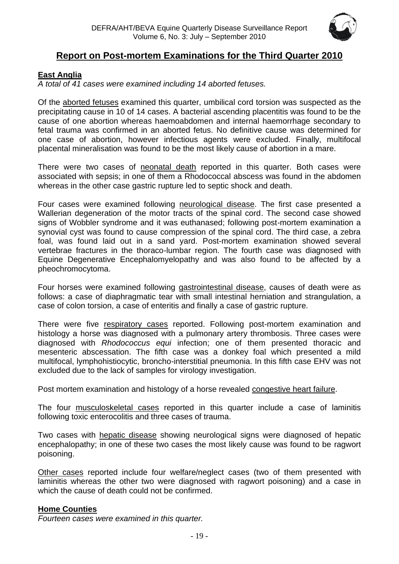

## **Report on Post-mortem Examinations for the Third Quarter 2010**

#### <span id="page-18-1"></span><span id="page-18-0"></span>**East Anglia**

*A total of 41 cases were examined including 14 aborted fetuses.*

Of the aborted fetuses examined this quarter, umbilical cord torsion was suspected as the precipitating cause in 10 of 14 cases. A bacterial ascending placentitis was found to be the cause of one abortion whereas haemoabdomen and internal haemorrhage secondary to fetal trauma was confirmed in an aborted fetus. No definitive cause was determined for one case of abortion, however infectious agents were excluded. Finally, multifocal placental mineralisation was found to be the most likely cause of abortion in a mare.

There were two cases of neonatal death reported in this quarter. Both cases were associated with sepsis; in one of them a Rhodococcal abscess was found in the abdomen whereas in the other case gastric rupture led to septic shock and death.

Four cases were examined following neurological disease. The first case presented a Wallerian degeneration of the motor tracts of the spinal cord. The second case showed signs of Wobbler syndrome and it was euthanased; following post-mortem examination a synovial cyst was found to cause compression of the spinal cord. The third case, a zebra foal, was found laid out in a sand yard. Post-mortem examination showed several vertebrae fractures in the thoraco-lumbar region. The fourth case was diagnosed with Equine Degenerative Encephalomyelopathy and was also found to be affected by a pheochromocytoma.

Four horses were examined following gastrointestinal disease, causes of death were as follows: a case of diaphragmatic tear with small intestinal herniation and strangulation, a case of colon torsion, a case of enteritis and finally a case of gastric rupture.

There were five respiratory cases reported. Following post-mortem examination and histology a horse was diagnosed with a pulmonary artery thrombosis. Three cases were diagnosed with *Rhodococcus equi* infection; one of them presented thoracic and mesenteric abscessation. The fifth case was a donkey foal which presented a mild multifocal, lymphohistiocytic, broncho-interstitial pneumonia. In this fifth case EHV was not excluded due to the lack of samples for virology investigation.

Post mortem examination and histology of a horse revealed congestive heart failure.

The four musculoskeletal cases reported in this quarter include a case of laminitis following toxic enterocolitis and three cases of trauma.

Two cases with hepatic disease showing neurological signs were diagnosed of hepatic encephalopathy; in one of these two cases the most likely cause was found to be ragwort poisoning.

Other cases reported include four welfare/neglect cases (two of them presented with laminitis whereas the other two were diagnosed with ragwort poisoning) and a case in which the cause of death could not be confirmed.

#### <span id="page-18-2"></span>**Home Counties**

*Fourteen cases were examined in this quarter.*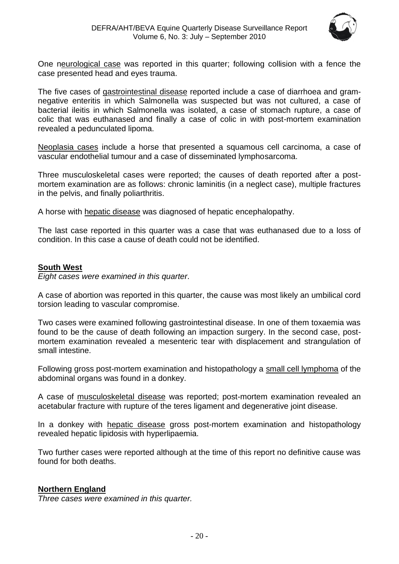

One neurological case was reported in this quarter; following collision with a fence the case presented head and eyes trauma.

The five cases of gastrointestinal disease reported include a case of diarrhoea and gramnegative enteritis in which Salmonella was suspected but was not cultured, a case of bacterial ileitis in which Salmonella was isolated, a case of stomach rupture, a case of colic that was euthanased and finally a case of colic in with post-mortem examination revealed a pedunculated lipoma.

Neoplasia cases include a horse that presented a squamous cell carcinoma, a case of vascular endothelial tumour and a case of disseminated lymphosarcoma.

Three musculoskeletal cases were reported; the causes of death reported after a postmortem examination are as follows: chronic laminitis (in a neglect case), multiple fractures in the pelvis, and finally poliarthritis.

A horse with hepatic disease was diagnosed of hepatic encephalopathy.

The last case reported in this quarter was a case that was euthanased due to a loss of condition. In this case a cause of death could not be identified.

#### <span id="page-19-0"></span>**South West**

*Eight cases were examined in this quarter*.

A case of abortion was reported in this quarter, the cause was most likely an umbilical cord torsion leading to vascular compromise.

Two cases were examined following gastrointestinal disease. In one of them toxaemia was found to be the cause of death following an impaction surgery. In the second case, postmortem examination revealed a mesenteric tear with displacement and strangulation of small intestine.

Following gross post-mortem examination and histopathology a small cell lymphoma of the abdominal organs was found in a donkey.

A case of musculoskeletal disease was reported; post-mortem examination revealed an acetabular fracture with rupture of the teres ligament and degenerative joint disease.

In a donkey with hepatic disease gross post-mortem examination and histopathology revealed hepatic lipidosis with hyperlipaemia.

Two further cases were reported although at the time of this report no definitive cause was found for both deaths.

#### <span id="page-19-1"></span>**Northern England**

*Three cases were examined in this quarter.*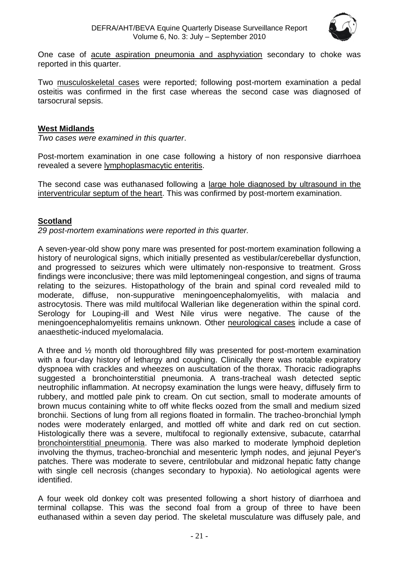

One case of acute aspiration pneumonia and asphyxiation secondary to choke was reported in this quarter.

Two musculoskeletal cases were reported; following post-mortem examination a pedal osteitis was confirmed in the first case whereas the second case was diagnosed of tarsocrural sepsis.

#### <span id="page-20-0"></span>**West Midlands**

*Two cases were examined in this quarter*.

Post-mortem examination in one case following a history of non responsive diarrhoea revealed a severe lymphoplasmacytic enteritis.

The second case was euthanased following a large hole diagnosed by ultrasound in the interventricular septum of the heart. This was confirmed by post-mortem examination.

#### <span id="page-20-1"></span>**Scotland**

*29 post-mortem examinations were reported in this quarter.* 

A seven-year-old show pony mare was presented for post-mortem examination following a history of neurological signs, which initially presented as vestibular/cerebellar dysfunction, and progressed to seizures which were ultimately non-responsive to treatment. Gross findings were inconclusive; there was mild leptomeningeal congestion, and signs of trauma relating to the seizures. Histopathology of the brain and spinal cord revealed mild to moderate, diffuse, non-suppurative meningoencephalomyelitis, with malacia and astrocytosis. There was mild multifocal Wallerian like degeneration within the spinal cord. Serology for Louping-ill and West Nile virus were negative. The cause of the meningoencephalomyelitis remains unknown. Other neurological cases include a case of anaesthetic-induced myelomalacia.

A three and ½ month old thoroughbred filly was presented for post-mortem examination with a four-day history of lethargy and coughing. Clinically there was notable expiratory dyspnoea with crackles and wheezes on auscultation of the thorax. Thoracic radiographs suggested a bronchointerstitial pneumonia. A trans-tracheal wash detected septic neutrophilic inflammation. At necropsy examination the lungs were heavy, diffusely firm to rubbery, and mottled pale pink to cream. On cut section, small to moderate amounts of brown mucus containing white to off white flecks oozed from the small and medium sized bronchii. Sections of lung from all regions floated in formalin. The tracheo-bronchial lymph nodes were moderately enlarged, and mottled off white and dark red on cut section. Histologically there was a severe, multifocal to regionally extensive, subacute, catarrhal bronchointerstitial pneumonia. There was also marked to moderate lymphoid depletion involving the thymus, tracheo-bronchial and mesenteric lymph nodes, and jejunal Peyer's patches. There was moderate to severe, centrilobular and midzonal hepatic fatty change with single cell necrosis (changes secondary to hypoxia). No aetiological agents were identified.

A four week old donkey colt was presented following a short history of diarrhoea and terminal collapse. This was the second foal from a group of three to have been euthanased within a seven day period. The skeletal musculature was diffusely pale, and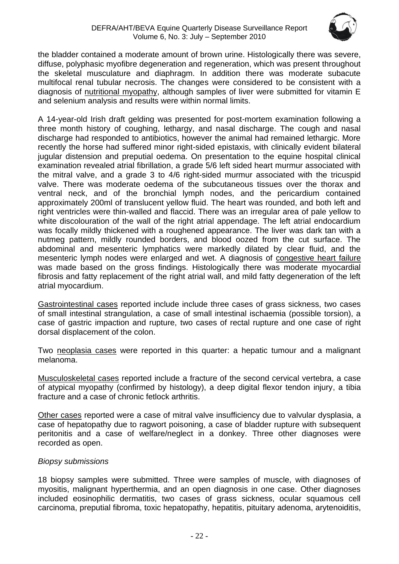

the bladder contained a moderate amount of brown urine. Histologically there was severe, diffuse, polyphasic myofibre degeneration and regeneration, which was present throughout the skeletal musculature and diaphragm. In addition there was moderate subacute multifocal renal tubular necrosis. The changes were considered to be consistent with a diagnosis of nutritional myopathy, although samples of liver were submitted for vitamin E and selenium analysis and results were within normal limits.

A 14-year-old Irish draft gelding was presented for post-mortem examination following a three month history of coughing, lethargy, and nasal discharge. The cough and nasal discharge had responded to antibiotics, however the animal had remained lethargic. More recently the horse had suffered minor right-sided epistaxis, with clinically evident bilateral jugular distension and preputial oedema. On presentation to the equine hospital clinical examination revealed atrial fibrillation, a grade 5/6 left sided heart murmur associated with the mitral valve, and a grade 3 to 4/6 right-sided murmur associated with the tricuspid valve. There was moderate oedema of the subcutaneous tissues over the thorax and ventral neck, and of the bronchial lymph nodes, and the pericardium contained approximately 200ml of translucent yellow fluid. The heart was rounded, and both left and right ventricles were thin-walled and flaccid. There was an irregular area of pale yellow to white discolouration of the wall of the right atrial appendage. The left atrial endocardium was focally mildly thickened with a roughened appearance. The liver was dark tan with a nutmeg pattern, mildly rounded borders, and blood oozed from the cut surface. The abdominal and mesenteric lymphatics were markedly dilated by clear fluid, and the mesenteric lymph nodes were enlarged and wet. A diagnosis of congestive heart failure was made based on the gross findings. Histologically there was moderate myocardial fibrosis and fatty replacement of the right atrial wall, and mild fatty degeneration of the left atrial myocardium.

Gastrointestinal cases reported include include three cases of grass sickness, two cases of small intestinal strangulation, a case of small intestinal ischaemia (possible torsion), a case of gastric impaction and rupture, two cases of rectal rupture and one case of right dorsal displacement of the colon.

Two neoplasia cases were reported in this quarter: a hepatic tumour and a malignant melanoma.

Musculoskeletal cases reported include a fracture of the second cervical vertebra, a case of atypical myopathy (confirmed by histology), a deep digital flexor tendon injury, a tibia fracture and a case of chronic fetlock arthritis.

Other cases reported were a case of mitral valve insufficiency due to valvular dysplasia, a case of hepatopathy due to ragwort poisoning, a case of bladder rupture with subsequent peritonitis and a case of welfare/neglect in a donkey. Three other diagnoses were recorded as open.

#### *Biopsy submissions*

18 biopsy samples were submitted. Three were samples of muscle, with diagnoses of myositis, malignant hyperthermia, and an open diagnosis in one case. Other diagnoses included eosinophilic dermatitis, two cases of grass sickness, ocular squamous cell carcinoma, preputial fibroma, toxic hepatopathy, hepatitis, pituitary adenoma, arytenoiditis,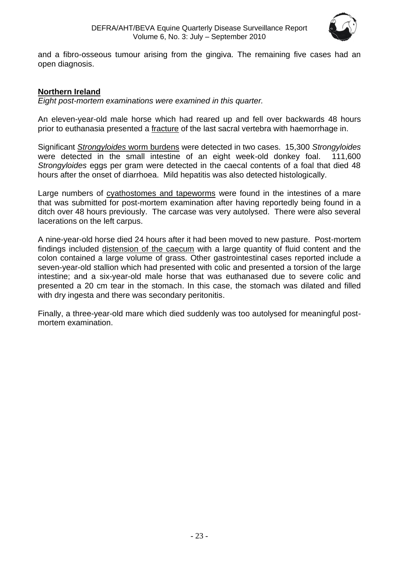

and a fibro-osseous tumour arising from the gingiva. The remaining five cases had an open diagnosis.

#### <span id="page-22-0"></span>**Northern Ireland**

*Eight post-mortem examinations were examined in this quarter.*

An eleven-year-old male horse which had reared up and fell over backwards 48 hours prior to euthanasia presented a fracture of the last sacral vertebra with haemorrhage in.

Significant *Strongyloides* worm burdens were detected in two cases. 15,300 *Strongyloides* were detected in the small intestine of an eight week-old donkey foal. 111,600 *Strongyloides* eggs per gram were detected in the caecal contents of a foal that died 48 hours after the onset of diarrhoea. Mild hepatitis was also detected histologically.

Large numbers of cyathostomes and tapeworms were found in the intestines of a mare that was submitted for post-mortem examination after having reportedly being found in a ditch over 48 hours previously. The carcase was very autolysed. There were also several lacerations on the left carpus.

A nine-year-old horse died 24 hours after it had been moved to new pasture. Post-mortem findings included distension of the caecum with a large quantity of fluid content and the colon contained a large volume of grass. Other gastrointestinal cases reported include a seven-year-old stallion which had presented with colic and presented a torsion of the large intestine; and a six-year-old male horse that was euthanased due to severe colic and presented a 20 cm tear in the stomach. In this case, the stomach was dilated and filled with dry ingesta and there was secondary peritonitis.

Finally, a three-year-old mare which died suddenly was too autolysed for meaningful postmortem examination.